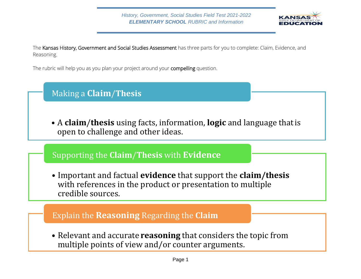

The Kansas History, Government and Social Studies Assessment has three parts for you to complete: Claim, Evidence, and Reasoning.

The rubric will help you as you plan your project around your compelling question.

# Making a **Claim**/**Thesis**

A **claim**/**thesis** using facts, information, **logic** and language thatis open to challenge and other ideas.

## Supporting the **Claim**/**Thesis** with **Evidence**

Important and factual **evidence** that support the **claim/thesis**  with references in the product or presentation to multiple credible sources.

#### Explain the **Reasoning** Regarding the **Claim**

Relevant and accurate **reasoning** that considers the topic from multiple points of view and/or counter arguments.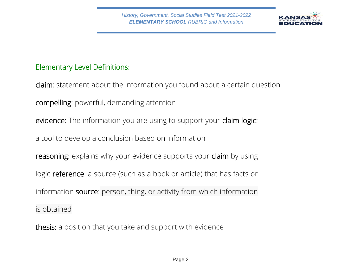

### Elementary Level Definitions:

claim: statement about the information you found about a certain question compelling: powerful, demanding attention evidence: The information you are using to support your claim logic: a tool to develop a conclusion based on information reasoning: explains why your evidence supports your claim by using logic reference: a source (such as a book or article) that has facts or information source: person, thing, or activity from which information is obtained

thesis: a position that you take and support with evidence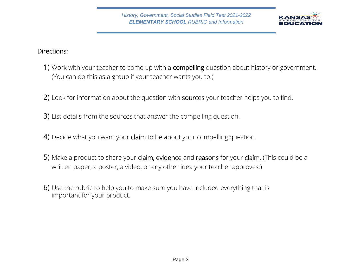

#### Directions:

- 1) Work with your teacher to come up with a **compelling** question about history or government. (You can do this as a group if your teacher wants you to.)
- 2) Look for information about the question with sources your teacher helps you to find.
- 3) List details from the sources that answer the compelling question.
- 4) Decide what you want your claim to be about your compelling question.
- 5) Make a product to share your claim, evidence and reasons for your claim. (This could be a written paper, a poster, a video, or any other idea your teacher approves.)
- 6) Use the rubric to help you to make sure you have included everything that is important for your product.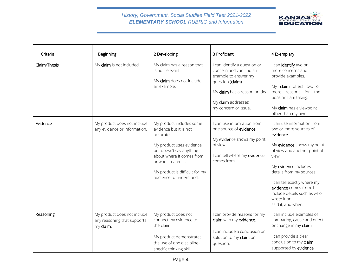#### *History, Government, Social Studies Field Test 2021-2022 ELEMENTARY SCHOOL RUBRIC and Information*



| Criteria     | 1 Beginning                                                             | 2 Developing                                                                                                                                                                                                                            | 3 Proficient                                                                                                                                                                         | 4 Exemplary                                                                                                                                                                                                                                                                                                               |
|--------------|-------------------------------------------------------------------------|-----------------------------------------------------------------------------------------------------------------------------------------------------------------------------------------------------------------------------------------|--------------------------------------------------------------------------------------------------------------------------------------------------------------------------------------|---------------------------------------------------------------------------------------------------------------------------------------------------------------------------------------------------------------------------------------------------------------------------------------------------------------------------|
| Claim/Thesis | My claim is not included.                                               | My claim has a reason that<br>is not relevant.<br>My claim does not include<br>an example.                                                                                                                                              | I can identify a question or<br>concern and can find an<br>example to answer my<br>question (claim).<br>My claim has a reason or idea.<br>My claim addresses<br>my concern or issue. | I can identify two or<br>more concerns and<br>provide examples.<br>My claim offers two or<br>more reasons for the<br>position I am taking.<br>My claim has a viewpoint<br>other than my own.                                                                                                                              |
| Evidence     | My product does not include<br>any evidence or information.             | My product includes some<br>evidence but it is not<br>accurate.<br>My product uses evidence<br>but doesn't say anything<br>about where it comes from<br>or who created it.<br>My product is difficult for my<br>audience to understand. | I can use information from<br>one source of evidence.<br>My evidence shows my point<br>of view.<br>I can tell where my evidence<br>comes from.                                       | I can use information from<br>two or more sources of<br>evidence.<br>My evidence shows my point<br>of view and another point of<br>view.<br>My evidence includes<br>details from my sources.<br>I can tell exactly where my<br>evidence comes from. I<br>include details such as who<br>wrote it or<br>said it, and when. |
| Reasoning    | My product does not include<br>any reasoning that supports<br>my claim. | My product does not<br>connect my evidence to<br>the claim.<br>My product demonstrates<br>the use of one discipline-<br>specific thinking skill.                                                                                        | I can provide reasons for my<br>claim with my evidence.<br>I can include a conclusion or<br>solution to my claim or<br>question.                                                     | I can include examples of<br>comparing, cause and effect<br>or change in my claim.<br>I can provide a clear<br>conclusion to my claim<br>supported by evidence.                                                                                                                                                           |